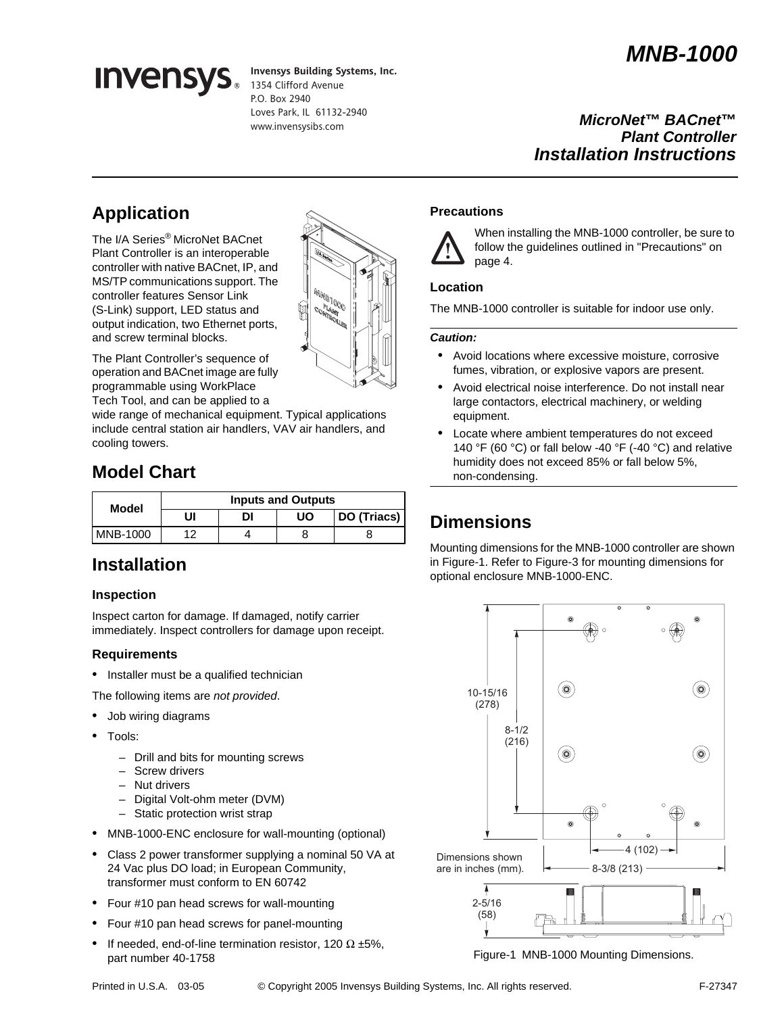# *MNB-1000*



**Invensys Building Systems, Inc.** 1354 Clifford Avenue P.O. Box 2940 Loves Park, IL 61132-2940 www.invensysibs.com

## *MicroNet***™** *BACnet***™** *Plant Controller Installation Instructions*

# **Application**

The I/A Series® MicroNet BACnet Plant Controller is an interoperable controller with native BACnet, IP, and MS/TP communications support. The controller features Sensor Link (S-Link) support, LED status and output indication, two Ethernet ports, and screw terminal blocks.



The Plant Controller's sequence of operation and BACnet image are fully programmable using WorkPlace Tech Tool, and can be applied to a

wide range of mechanical equipment. Typical applications include central station air handlers, VAV air handlers, and cooling towers.

# **Model Chart**

| Model           | <b>Inputs and Outputs</b> |    |    |             |
|-----------------|---------------------------|----|----|-------------|
|                 | JI                        | וח | UO | DO (Triacs) |
| <b>MNB-1000</b> |                           |    |    |             |

## **Installation**

## **Inspection**

Inspect carton for damage. If damaged, notify carrier immediately. Inspect controllers for damage upon receipt.

## **Requirements**

- Installer must be a qualified technician
- The following items are *not provided*.
- Job wiring diagrams
- Tools:
	- Drill and bits for mounting screws
	- Screw drivers
	- Nut drivers
	- Digital Volt-ohm meter (DVM)
	- Static protection wrist strap
- MNB-1000-ENC enclosure for wall-mounting (optional)
- Class 2 power transformer supplying a nominal 50 VA at 24 Vac plus DO load; in European Community, transformer must conform to EN 60742
- Four #10 pan head screws for wall-mounting
- Four #10 pan head screws for panel-mounting
- If needed, end-of-line termination resistor, 120  $\Omega$  ±5%, part number 40-1758

## **Precautions**



When installing the MNB-1000 controller, be sure to follow the guidelines outlined in "Precautions" on page 4.

## **Location**

The MNB-1000 controller is suitable for indoor use only.

## *Caution:*

- Avoid locations where excessive moisture, corrosive fumes, vibration, or explosive vapors are present.
- Avoid electrical noise interference. Do not install near large contactors, electrical machinery, or welding equipment.
- Locate where ambient temperatures do not exceed 140 °F (60 °C) or fall below -40 °F (-40 °C) and relative humidity does not exceed 85% or fall below 5%, non-condensing.

## **Dimensions**

Mounting dimensions for the MNB-1000 controller are shown in Figure-1. Refer to Figure-3 for mounting dimensions for optional enclosure MNB-1000-ENC.



Figure-1 MNB-1000 Mounting Dimensions.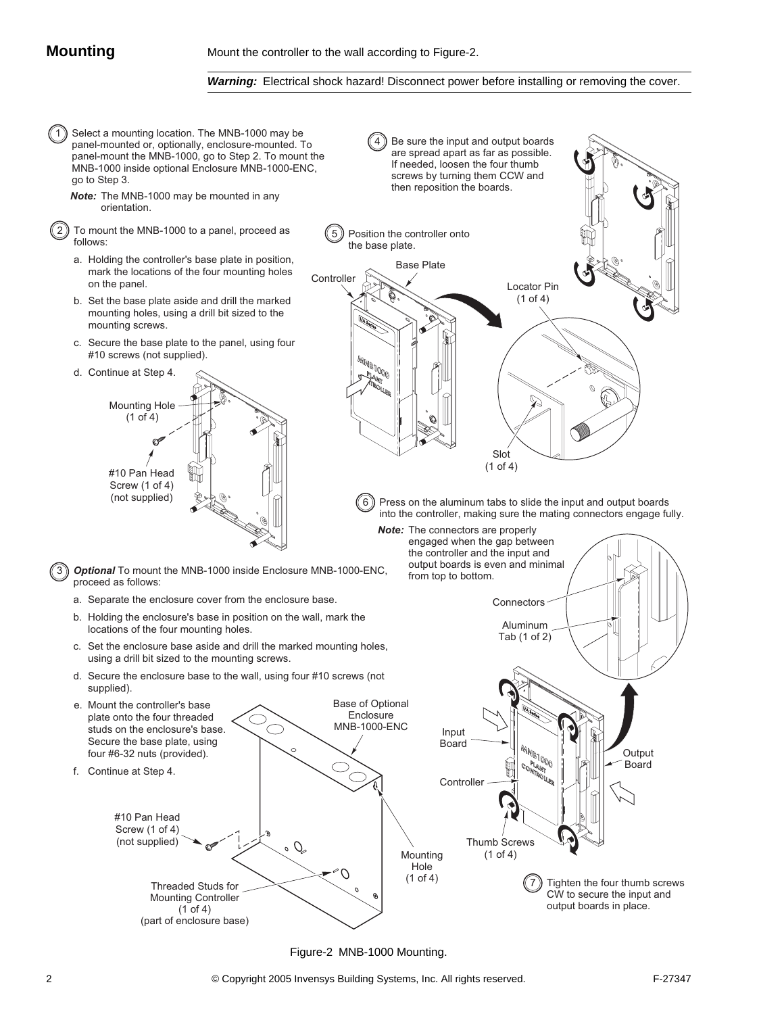#### *Warning:* Electrical shock hazard! Disconnect power before installing or removing the cover.



Figure-2 MNB-1000 Mounting.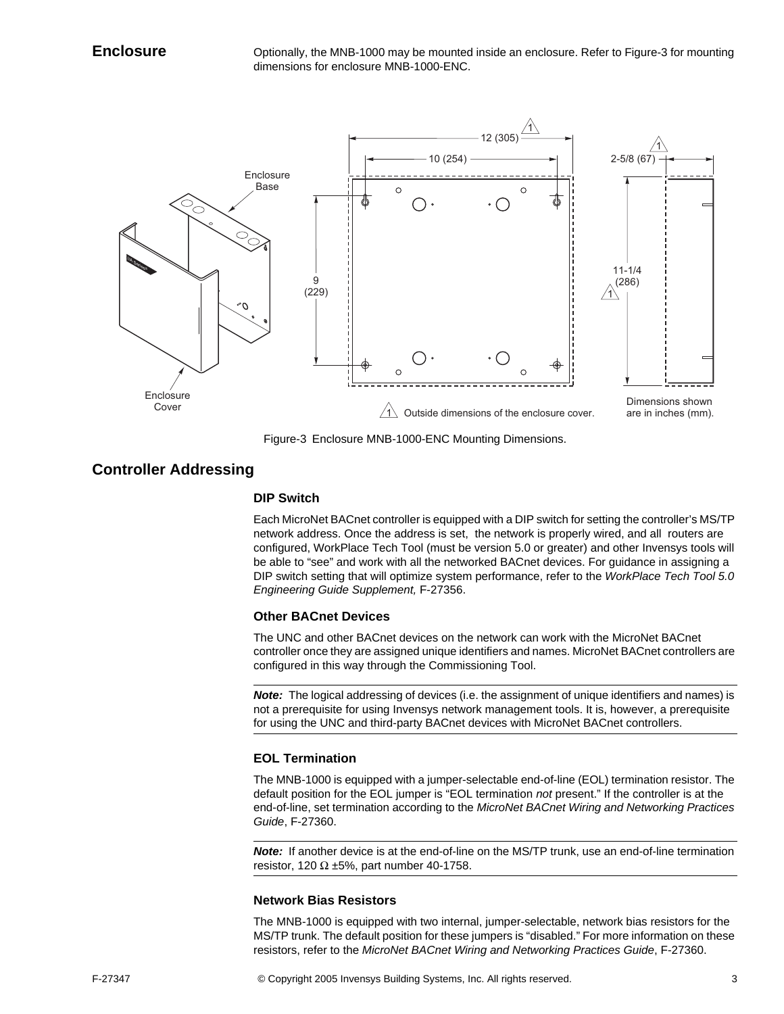**Enclosure Entitled Continuity**, the MNB-1000 may be mounted inside an enclosure. Refer to Figure-3 for mounting dimensions for enclosure MNB-1000-ENC.



Figure-3 Enclosure MNB-1000-ENC Mounting Dimensions.

## **Controller Addressing**

#### **DIP Switch**

Each MicroNet BACnet controller is equipped with a DIP switch for setting the controller's MS/TP network address. Once the address is set, the network is properly wired, and all routers are configured, WorkPlace Tech Tool (must be version 5.0 or greater) and other Invensys tools will be able to "see" and work with all the networked BACnet devices. For guidance in assigning a DIP switch setting that will optimize system performance, refer to the *WorkPlace Tech Tool 5.0 Engineering Guide Supplement,* F-27356.

### **Other BACnet Devices**

The UNC and other BACnet devices on the network can work with the MicroNet BACnet controller once they are assigned unique identifiers and names. MicroNet BACnet controllers are configured in this way through the Commissioning Tool.

*Note:* The logical addressing of devices (i.e. the assignment of unique identifiers and names) is not a prerequisite for using Invensys network management tools. It is, however, a prerequisite for using the UNC and third-party BACnet devices with MicroNet BACnet controllers.

## **EOL Termination**

The MNB-1000 is equipped with a jumper-selectable end-of-line (EOL) termination resistor. The default position for the EOL jumper is "EOL termination *not* present." If the controller is at the end-of-line, set termination according to the *MicroNet BACnet Wiring and Networking Practices Guide*, F-27360.

*Note:* If another device is at the end-of-line on the MS/TP trunk, use an end-of-line termination resistor, 120  $\Omega$  ±5%, part number 40-1758.

### **Network Bias Resistors**

The MNB-1000 is equipped with two internal, jumper-selectable, network bias resistors for the MS/TP trunk. The default position for these jumpers is "disabled." For more information on these resistors, refer to the *MicroNet BACnet Wiring and Networking Practices Guide*, F-27360.